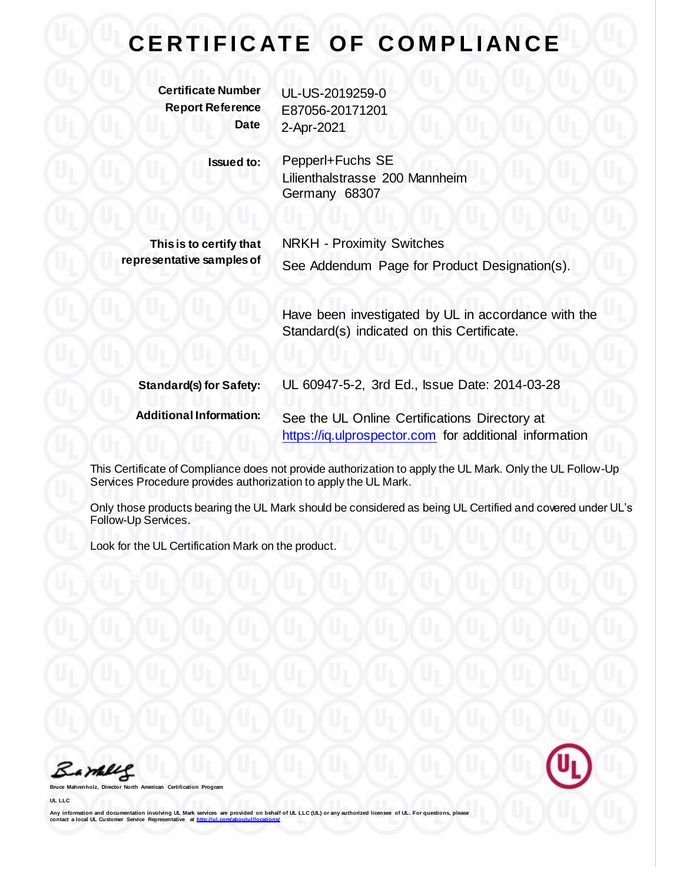**Certificate Number** UL-US-2019259-0 **Report Reference** E87056-20171201 **Date** 2-Apr-2021

> **Issued to:** Pepperl+Fuchs SE Lilienthalstrasse 200 Mannheim Germany 68307

**This is to certify that representative samples of**

NRKH - Proximity Switches See Addendum Page for Product Designation(s).

Have been investigated by UL in accordance with the Standard(s) indicated on this Certificate.

| <b>Standard(s) for Safety:</b> | UL 60947-5-2, 3rd Ed., Issue Date: 2014-03-28          |  |
|--------------------------------|--------------------------------------------------------|--|
| <b>Additional Information:</b> | See the UL Online Certifications Directory at          |  |
|                                | https://iq.ulprospector.com for additional information |  |

This Certificate of Compliance does not provide authorization to apply the UL Mark. Only the UL Follow-Up Services Procedure provides authorization to apply the UL Mark.

Only those products bearing the UL Mark should be considered as being UL Certified and covered under UL's Follow-Up Services.

Look for the UL Certification Mark on the product.

Bamelle

**Bruce Mahrenholz, Director North American Certification Program**

**UL LLC**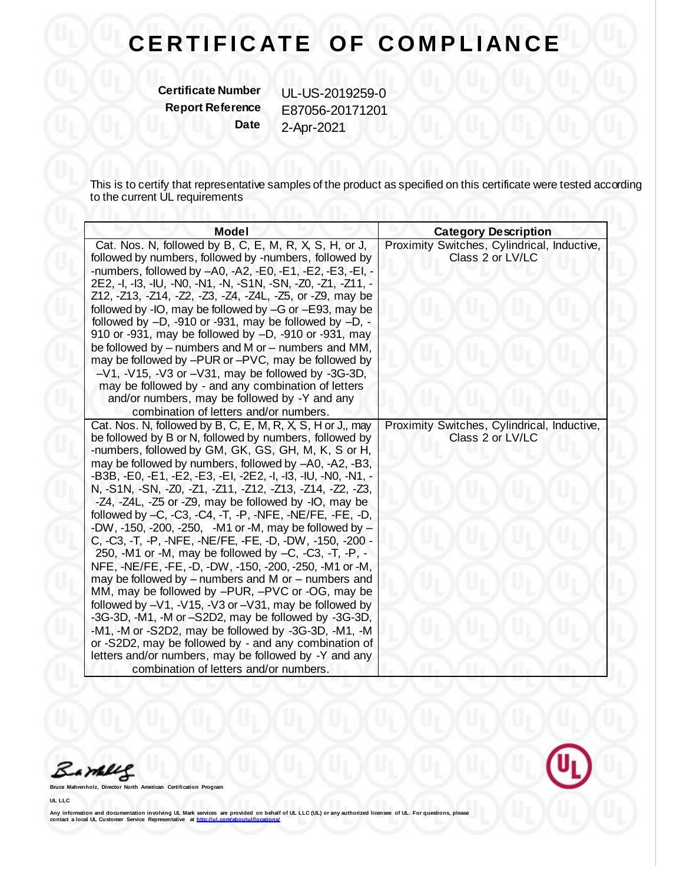**Certificate Number** UL-US-2019259-0<br>**Report Reference** E87056-20171201 **Report Reference** E87056-20171201 **Date** 2-Apr-2021

This is to certify that representative samples of the product as specified on this certificate were tested according to the current UL requirements

| <b>Model</b>                                                                                                                                                                                                                                                                                                                                                                                                                                                                                                                                                                                                                                                                                                                                                                                                                                                                                                                                                                                                                                                                                                                                                                                  | <b>Category Description</b>                                     |
|-----------------------------------------------------------------------------------------------------------------------------------------------------------------------------------------------------------------------------------------------------------------------------------------------------------------------------------------------------------------------------------------------------------------------------------------------------------------------------------------------------------------------------------------------------------------------------------------------------------------------------------------------------------------------------------------------------------------------------------------------------------------------------------------------------------------------------------------------------------------------------------------------------------------------------------------------------------------------------------------------------------------------------------------------------------------------------------------------------------------------------------------------------------------------------------------------|-----------------------------------------------------------------|
| Cat. Nos. N, followed by B, C, E, M, R, X, S, H, or J,<br>followed by numbers, followed by -numbers, followed by<br>-numbers, followed by -A0, -A2, -E0, -E1, -E2, -E3, -EI, -<br>2E2, -I, -I3, -IU, -N0, -N1, -N, -S1N, -SN, -Z0, -Z1, -Z11, -<br>Z12, -Z13, -Z14, -Z2, -Z3, -Z4, -Z4L, -Z5, or -Z9, may be<br>followed by -IO, may be followed by -G or -E93, may be<br>followed by -D, -910 or -931, may be followed by -D, -<br>910 or -931, may be followed by -D, -910 or -931, may<br>be followed by – numbers and M or – numbers and MM,<br>may be followed by -PUR or -PVC, may be followed by<br>$-V1$ , $-V15$ , $-V3$ or $-V31$ , may be followed by $-3G-3D$ ,<br>may be followed by - and any combination of letters<br>and/or numbers, may be followed by -Y and any<br>combination of letters and/or numbers.                                                                                                                                                                                                                                                                                                                                                                 | Proximity Switches, Cylindrical, Inductive,<br>Class 2 or LV/LC |
| Cat. Nos. N, followed by B, C, E, M, R, X, S, H or J,, may<br>be followed by B or N, followed by numbers, followed by<br>-numbers, followed by GM, GK, GS, GH, M, K, S or H,<br>may be followed by numbers, followed by -A0, -A2, -B3,<br>-B3B, -E0, -E1, -E2, -E3, -EI, -2E2, -I, -I3, -IU, -N0, -N1, -<br>N, -S1N, -SN, -Z0, -Z1, -Z11, -Z12, -Z13, -Z14, -Z2, -Z3,<br>-Z4, -Z4L, -Z5 or -Z9, may be followed by -IO, may be<br>followed by -C, -C3, -C4, -T, -P, -NFE, -NE/FE, -FE, -D,<br>-DW, -150, -200, -250, -M1 or -M, may be followed by $-$<br>C, -C3, -T, -P, -NFE, -NE/FE, -FE, -D, -DW, -150, -200 -<br>250, -M1 or -M, may be followed by $-C$ , $-C$ 3, -T, -P, -<br>NFE, -NE/FE, -FE, -D, -DW, -150, -200, -250, -M1 or -M,<br>may be followed by - numbers and M or - numbers and<br>MM, may be followed by -PUR, -PVC or -OG, may be<br>followed by -V1, -V15, -V3 or -V31, may be followed by<br>-3G-3D, -M1, -M or -S2D2, may be followed by -3G-3D,<br>-M1, -M or -S2D2, may be followed by -3G-3D, -M1, -M<br>or -S2D2, may be followed by - and any combination of<br>letters and/or numbers, may be followed by -Y and any<br>combination of letters and/or numbers. | Proximity Switches, Cylindrical, Inductive,<br>Class 2 or LV/LC |

Barney

**Bruce Mahrenholz, Director North American Certification Program**

**UL LLC**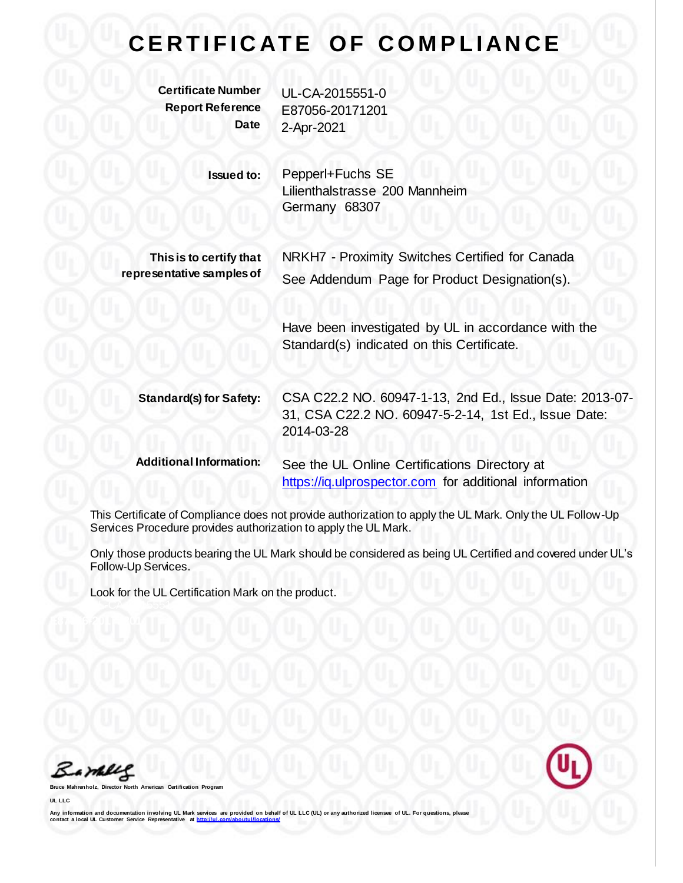**Certificate Number** UL-CA-2015551-0

**Report Reference** E87056-20171201 **Date** 2-Apr-2021

> **Issued to:** Pepperl+Fuchs SE Lilienthalstrasse 200 Mannheim Germany 68307

**This is to certify that representative samples of** NRKH7 - Proximity Switches Certified for Canada See Addendum Page for Product Designation(s).

Have been investigated by UL in accordance with the Standard(s) indicated on this Certificate.

**Standard(s) for Safety:** CSA C22.2 NO. 60947-1-13, 2nd Ed., Issue Date: 2013-07- 31, CSA C22.2 NO. 60947-5-2-14, 1st Ed., Issue Date: 2014-03-28

**Additional Information:** See the UL Online Certifications Directory at [https://iq.ulprospector.com](https://iq.ulprospector.com/) for additional information

This Certificate of Compliance does not provide authorization to apply the UL Mark. Only the UL Follow-Up Services Procedure provides authorization to apply the UL Mark.

Only those products bearing the UL Mark should be considered as being UL Certified and covered under UL's Follow-Up Services.

Look for the UL Certification Mark on the product.

Barney

**Bruce Mahrenholz, Director North American Certification Program**

**UL LLC**